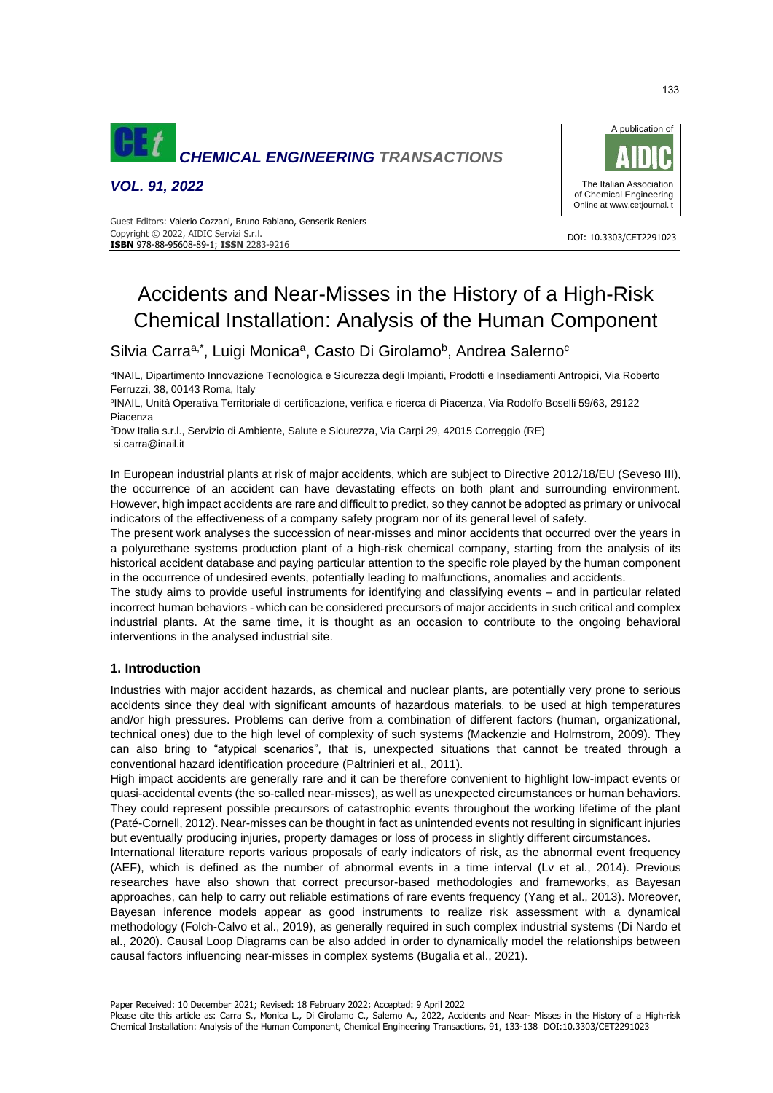

*VOL. 91, 2022*



DOI: 10.3303/CET2291023

 Copyright © 2022, AIDIC Servizi S.r.l. Guest Editors: Valerio Cozzani, Bruno Fabiano, Genserik Reniers **ISBN** 978-88-95608-89-1; **ISSN** 2283-9216

# Accidents and Near-Misses in the History of a High-Risk Chemical Installation: Analysis of the Human Component

Silvia Carra<sup>a,\*</sup>, Luigi Monica<sup>a</sup>, Casto Di Girolamo<sup>b</sup>, Andrea Salerno<sup>c</sup>

<sup>a</sup>INAIL, Dipartimento Innovazione Tecnologica e Sicurezza degli Impianti, Prodotti e Insediamenti Antropici, Via Roberto Ferruzzi, 38, 00143 Roma, Italy

b INAIL, Unità Operativa Territoriale di certificazione, verifica e ricerca di Piacenza, Via Rodolfo Boselli 59/63, 29122 Piacenza

<sup>c</sup>Dow Italia s.r.l., Servizio di Ambiente, Salute e Sicurezza, Via Carpi 29, 42015 Correggio (RE) si.carra@inail.it

In European industrial plants at risk of major accidents, which are subject to Directive 2012/18/EU (Seveso III), the occurrence of an accident can have devastating effects on both plant and surrounding environment. However, high impact accidents are rare and difficult to predict, so they cannot be adopted as primary or univocal indicators of the effectiveness of a company safety program nor of its general level of safety.

The present work analyses the succession of near-misses and minor accidents that occurred over the years in a polyurethane systems production plant of a high-risk chemical company, starting from the analysis of its historical accident database and paying particular attention to the specific role played by the human component in the occurrence of undesired events, potentially leading to malfunctions, anomalies and accidents.

The study aims to provide useful instruments for identifying and classifying events – and in particular related incorrect human behaviors - which can be considered precursors of major accidents in such critical and complex industrial plants. At the same time, it is thought as an occasion to contribute to the ongoing behavioral interventions in the analysed industrial site.

# **1. Introduction**

Industries with major accident hazards, as chemical and nuclear plants, are potentially very prone to serious accidents since they deal with significant amounts of hazardous materials, to be used at high temperatures and/or high pressures. Problems can derive from a combination of different factors (human, organizational, technical ones) due to the high level of complexity of such systems (Mackenzie and Holmstrom, 2009). They can also bring to "atypical scenarios", that is, unexpected situations that cannot be treated through a conventional hazard identification procedure (Paltrinieri et al., 2011).

High impact accidents are generally rare and it can be therefore convenient to highlight low-impact events or quasi-accidental events (the so-called near-misses), as well as unexpected circumstances or human behaviors. They could represent possible precursors of catastrophic events throughout the working lifetime of the plant (Paté-Cornell, 2012). Near-misses can be thought in fact as unintended events not resulting in significant injuries but eventually producing injuries, property damages or loss of process in slightly different circumstances.

International literature reports various proposals of early indicators of risk, as the abnormal event frequency (AEF), which is defined as the number of abnormal events in a time interval (Lv et al., 2014). Previous researches have also shown that correct precursor-based methodologies and frameworks, as Bayesan approaches, can help to carry out reliable estimations of rare events frequency (Yang et al., 2013). Moreover, Bayesan inference models appear as good instruments to realize risk assessment with a dynamical methodology (Folch-Calvo et al., 2019), as generally required in such complex industrial systems (Di Nardo et al., 2020). Causal Loop Diagrams can be also added in order to dynamically model the relationships between causal factors influencing near-misses in complex systems (Bugalia et al., 2021).

Paper Received: 10 December 2021; Revised: 18 February 2022; Accepted: 9 April 2022

Please cite this article as: Carra S., Monica L., Di Girolamo C., Salerno A., 2022, Accidents and Near- Misses in the History of a High-risk Chemical Installation: Analysis of the Human Component, Chemical Engineering Transactions, 91, 133-138 DOI:10.3303/CET2291023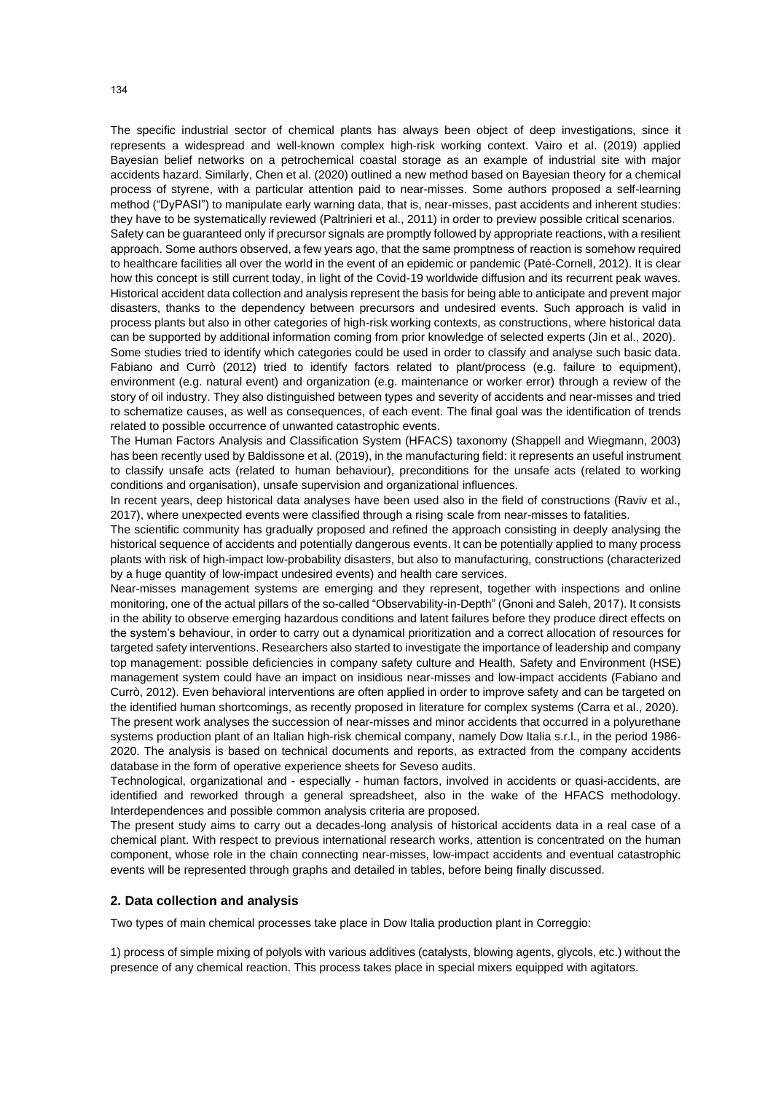The specific industrial sector of chemical plants has always been object of deep investigations, since it represents a widespread and well-known complex high-risk working context. Vairo et al. (2019) applied Bayesian belief networks on a petrochemical coastal storage as an example of industrial site with major accidents hazard. Similarly, Chen et al. (2020) outlined a new method based on Bayesian theory for a chemical process of styrene, with a particular attention paid to near-misses. Some authors proposed a self-learning method ("DyPASI") to manipulate early warning data, that is, near-misses, past accidents and inherent studies: they have to be systematically reviewed (Paltrinieri et al., 2011) in order to preview possible critical scenarios.

Safety can be guaranteed only if precursor signals are promptly followed by appropriate reactions, with a resilient approach. Some authors observed, a few years ago, that the same promptness of reaction is somehow required to healthcare facilities all over the world in the event of an epidemic or pandemic (Paté-Cornell, 2012). It is clear how this concept is still current today, in light of the Covid-19 worldwide diffusion and its recurrent peak waves. Historical accident data collection and analysis represent the basis for being able to anticipate and prevent major disasters, thanks to the dependency between precursors and undesired events. Such approach is valid in process plants but also in other categories of high-risk working contexts, as constructions, where historical data can be supported by additional information coming from prior knowledge of selected experts (Jin et al., 2020).

Some studies tried to identify which categories could be used in order to classify and analyse such basic data. Fabiano and Currò (2012) tried to identify factors related to plant/process (e.g. failure to equipment), environment (e.g. natural event) and organization (e.g. maintenance or worker error) through a review of the story of oil industry. They also distinguished between types and severity of accidents and near-misses and tried to schematize causes, as well as consequences, of each event. The final goal was the identification of trends related to possible occurrence of unwanted catastrophic events.

The Human Factors Analysis and Classification System (HFACS) taxonomy (Shappell and Wiegmann, 2003) has been recently used by Baldissone et al. (2019), in the manufacturing field: it represents an useful instrument to classify unsafe acts (related to human behaviour), preconditions for the unsafe acts (related to working conditions and organisation), unsafe supervision and organizational influences.

In recent years, deep historical data analyses have been used also in the field of constructions (Raviv et al., 2017), where unexpected events were classified through a rising scale from near-misses to fatalities.

The scientific community has gradually proposed and refined the approach consisting in deeply analysing the historical sequence of accidents and potentially dangerous events. It can be potentially applied to many process plants with risk of high-impact low-probability disasters, but also to manufacturing, constructions (characterized by a huge quantity of low-impact undesired events) and health care services.

Near-misses management systems are emerging and they represent, together with inspections and online monitoring, one of the actual pillars of the so-called "Observability-in-Depth" (Gnoni and Saleh, 2017). It consists in the ability to observe emerging hazardous conditions and latent failures before they produce direct effects on the system's behaviour, in order to carry out a dynamical prioritization and a correct allocation of resources for targeted safety interventions. Researchers also started to investigate the importance of leadership and company top management: possible deficiencies in company safety culture and Health, Safety and Environment (HSE) management system could have an impact on insidious near-misses and low-impact accidents (Fabiano and Currò, 2012). Even behavioral interventions are often applied in order to improve safety and can be targeted on the identified human shortcomings, as recently proposed in literature for complex systems (Carra et al., 2020). The present work analyses the succession of near-misses and minor accidents that occurred in a polyurethane systems production plant of an Italian high-risk chemical company, namely Dow Italia s.r.l., in the period 1986- 2020. The analysis is based on technical documents and reports, as extracted from the company accidents database in the form of operative experience sheets for Seveso audits.

Technological, organizational and - especially - human factors, involved in accidents or quasi-accidents, are identified and reworked through a general spreadsheet, also in the wake of the HFACS methodology. Interdependences and possible common analysis criteria are proposed.

The present study aims to carry out a decades-long analysis of historical accidents data in a real case of a chemical plant. With respect to previous international research works, attention is concentrated on the human component, whose role in the chain connecting near-misses, low-impact accidents and eventual catastrophic events will be represented through graphs and detailed in tables, before being finally discussed.

## **2. Data collection and analysis**

Two types of main chemical processes take place in Dow Italia production plant in Correggio:

1) process of simple mixing of polyols with various additives (catalysts, blowing agents, glycols, etc.) without the presence of any chemical reaction. This process takes place in special mixers equipped with agitators.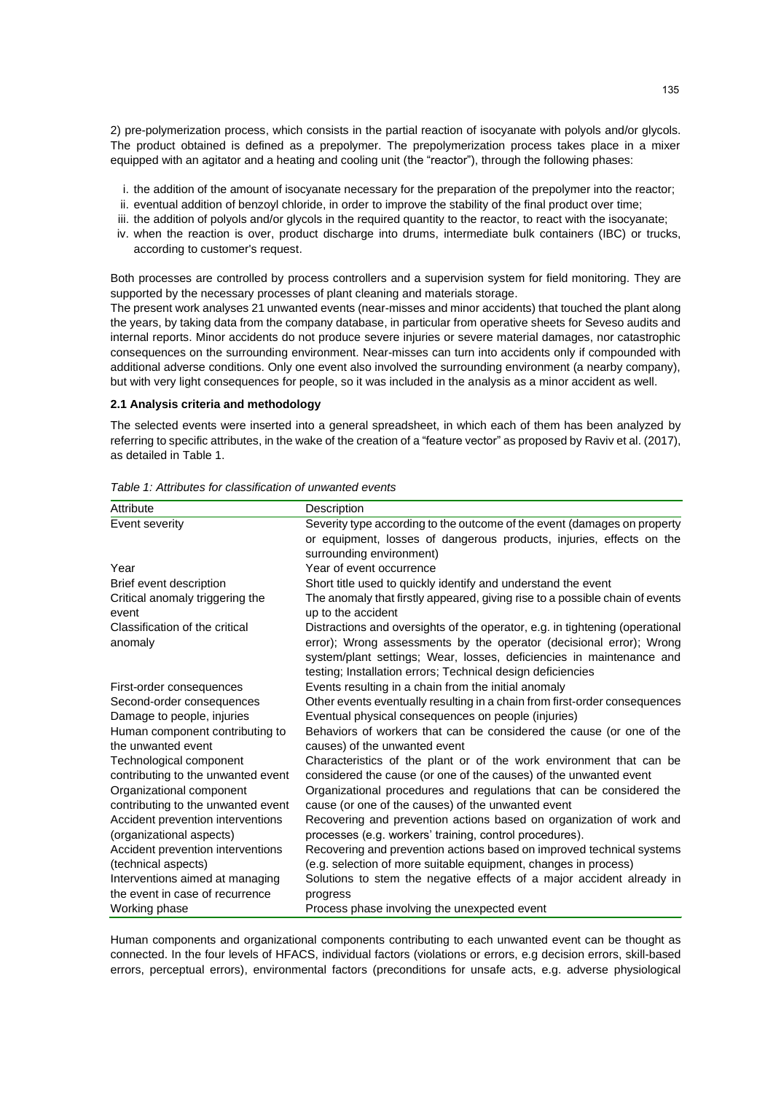2) pre-polymerization process, which consists in the partial reaction of isocyanate with polyols and/or glycols. The product obtained is defined as a prepolymer. The prepolymerization process takes place in a mixer equipped with an agitator and a heating and cooling unit (the "reactor"), through the following phases:

- i. the addition of the amount of isocyanate necessary for the preparation of the prepolymer into the reactor;
- ii. eventual addition of benzoyl chloride, in order to improve the stability of the final product over time;
- iii. the addition of polyols and/or glycols in the required quantity to the reactor, to react with the isocyanate;
- iv. when the reaction is over, product discharge into drums, intermediate bulk containers (IBC) or trucks, according to customer's request.

Both processes are controlled by process controllers and a supervision system for field monitoring. They are supported by the necessary processes of plant cleaning and materials storage.

The present work analyses 21 unwanted events (near-misses and minor accidents) that touched the plant along the years, by taking data from the company database, in particular from operative sheets for Seveso audits and internal reports. Minor accidents do not produce severe injuries or severe material damages, nor catastrophic consequences on the surrounding environment. Near-misses can turn into accidents only if compounded with additional adverse conditions. Only one event also involved the surrounding environment (a nearby company), but with very light consequences for people, so it was included in the analysis as a minor accident as well.

#### **2.1 Analysis criteria and methodology**

The selected events were inserted into a general spreadsheet, in which each of them has been analyzed by referring to specific attributes, in the wake of the creation of a "feature vector" as proposed by Raviv et al. (2017), as detailed in Table 1.

| Attribute                          | Description                                                                  |
|------------------------------------|------------------------------------------------------------------------------|
| Event severity                     | Severity type according to the outcome of the event (damages on property     |
|                                    | or equipment, losses of dangerous products, injuries, effects on the         |
|                                    | surrounding environment)                                                     |
| Year                               | Year of event occurrence                                                     |
| Brief event description            | Short title used to quickly identify and understand the event                |
| Critical anomaly triggering the    | The anomaly that firstly appeared, giving rise to a possible chain of events |
| event                              | up to the accident                                                           |
| Classification of the critical     | Distractions and oversights of the operator, e.g. in tightening (operational |
| anomaly                            | error); Wrong assessments by the operator (decisional error); Wrong          |
|                                    | system/plant settings; Wear, losses, deficiencies in maintenance and         |
|                                    | testing; Installation errors; Technical design deficiencies                  |
| First-order consequences           | Events resulting in a chain from the initial anomaly                         |
| Second-order consequences          | Other events eventually resulting in a chain from first-order consequences   |
| Damage to people, injuries         | Eventual physical consequences on people (injuries)                          |
| Human component contributing to    | Behaviors of workers that can be considered the cause (or one of the         |
| the unwanted event                 | causes) of the unwanted event                                                |
| Technological component            | Characteristics of the plant or of the work environment that can be          |
| contributing to the unwanted event | considered the cause (or one of the causes) of the unwanted event            |
| Organizational component           | Organizational procedures and regulations that can be considered the         |
| contributing to the unwanted event | cause (or one of the causes) of the unwanted event                           |
| Accident prevention interventions  | Recovering and prevention actions based on organization of work and          |
| (organizational aspects)           | processes (e.g. workers' training, control procedures).                      |
| Accident prevention interventions  | Recovering and prevention actions based on improved technical systems        |
| (technical aspects)                | (e.g. selection of more suitable equipment, changes in process)              |
| Interventions aimed at managing    | Solutions to stem the negative effects of a major accident already in        |
| the event in case of recurrence    | progress                                                                     |
| Working phase                      | Process phase involving the unexpected event                                 |

*Table 1: Attributes for classification of unwanted events*

Human components and organizational components contributing to each unwanted event can be thought as connected. In the four levels of HFACS, individual factors (violations or errors, e.g decision errors, skill-based errors, perceptual errors), environmental factors (preconditions for unsafe acts, e.g. adverse physiological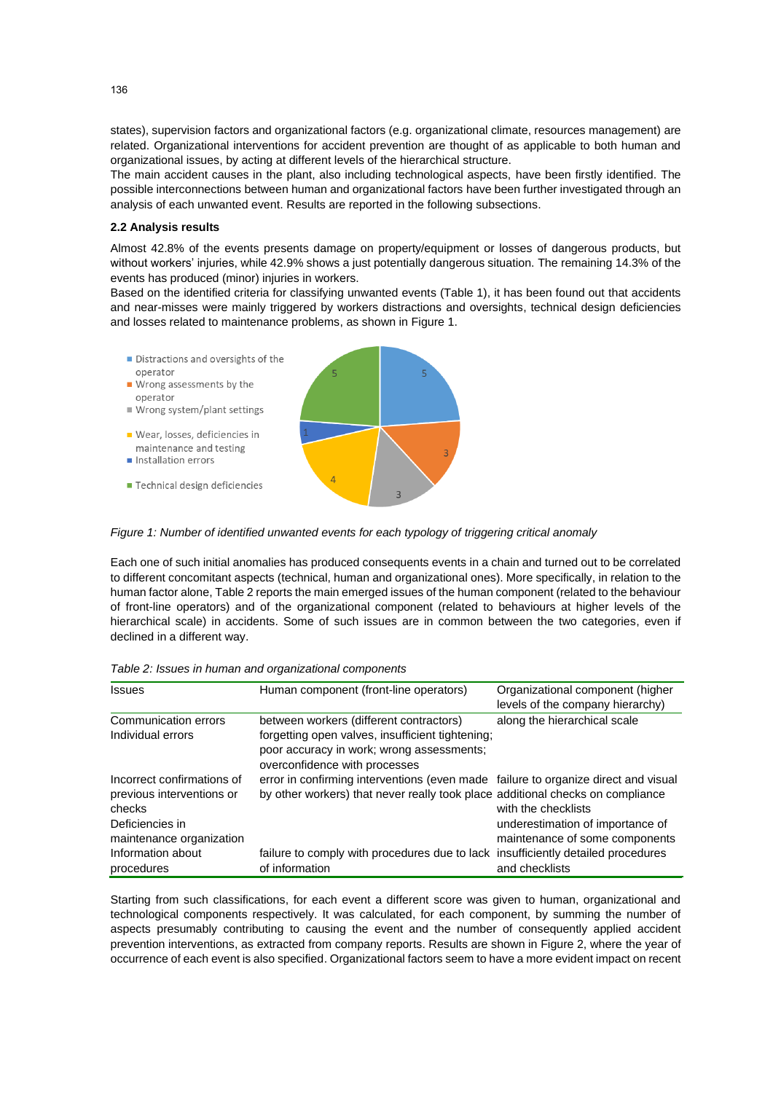states), supervision factors and organizational factors (e.g. organizational climate, resources management) are related. Organizational interventions for accident prevention are thought of as applicable to both human and organizational issues, by acting at different levels of the hierarchical structure.

The main accident causes in the plant, also including technological aspects, have been firstly identified. The possible interconnections between human and organizational factors have been further investigated through an analysis of each unwanted event. Results are reported in the following subsections.

### **2.2 Analysis results**

Almost 42.8% of the events presents damage on property/equipment or losses of dangerous products, but without workers' injuries, while 42.9% shows a just potentially dangerous situation. The remaining 14.3% of the events has produced (minor) injuries in workers.

Based on the identified criteria for classifying unwanted events (Table 1), it has been found out that accidents and near-misses were mainly triggered by workers distractions and oversights, technical design deficiencies and losses related to maintenance problems, as shown in Figure 1.

- Distractions and oversights of the operator  $\blacksquare$  Wrong assessments by the
- operator
- Wrong system/plant settings
- Wear, losses, deficiencies in maintenance and testing Installation errors
- 
- Technical design deficiencies

*Figure 1: Number of identified unwanted events for each typology of triggering critical anomaly*

Each one of such initial anomalies has produced consequents events in a chain and turned out to be correlated to different concomitant aspects (technical, human and organizational ones). More specifically, in relation to the human factor alone, Table 2 reports the main emerged issues of the human component (related to the behaviour of front-line operators) and of the organizational component (related to behaviours at higher levels of the hierarchical scale) in accidents. Some of such issues are in common between the two categories, even if declined in a different way.

| <b>Issues</b>                                                                                                    | Human component (front-line operators)                                                                                                                                    | Organizational component (higher<br>levels of the company hierarchy)                      |
|------------------------------------------------------------------------------------------------------------------|---------------------------------------------------------------------------------------------------------------------------------------------------------------------------|-------------------------------------------------------------------------------------------|
| Communication errors<br>Individual errors                                                                        | between workers (different contractors)<br>forgetting open valves, insufficient tightening;<br>poor accuracy in work; wrong assessments;<br>overconfidence with processes | along the hierarchical scale                                                              |
| Incorrect confirmations of<br>previous interventions or<br>checks<br>Deficiencies in<br>maintenance organization | error in confirming interventions (even made failure to organize direct and visual<br>by other workers) that never really took place additional checks on compliance      | with the checklists<br>underestimation of importance of<br>maintenance of some components |
| Information about<br>procedures                                                                                  | failure to comply with procedures due to lack insufficiently detailed procedures<br>of information                                                                        | and checklists                                                                            |

Starting from such classifications, for each event a different score was given to human, organizational and technological components respectively. It was calculated, for each component, by summing the number of aspects presumably contributing to causing the event and the number of consequently applied accident prevention interventions, as extracted from company reports. Results are shown in Figure 2, where the year of occurrence of each event is also specified. Organizational factors seem to have a more evident impact on recent

136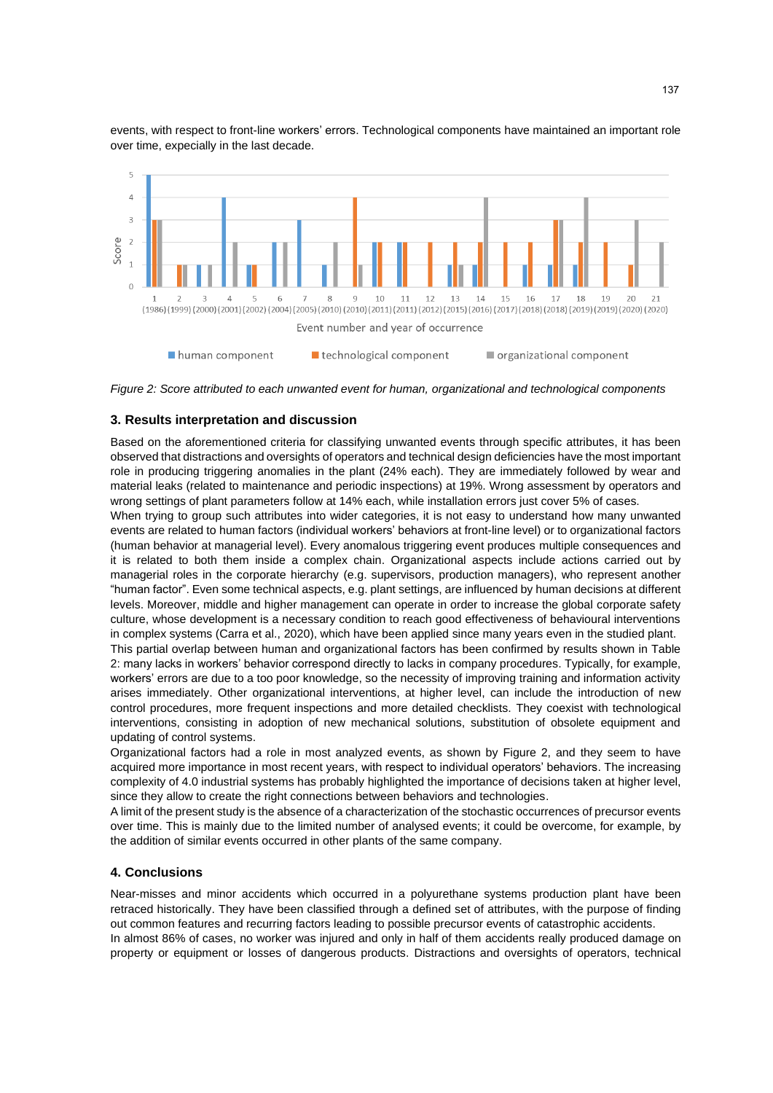

events, with respect to front-line workers' errors. Technological components have maintained an important role over time, expecially in the last decade.

*Figure 2: Score attributed to each unwanted event for human, organizational and technological components*

#### **3. Results interpretation and discussion**

Based on the aforementioned criteria for classifying unwanted events through specific attributes, it has been observed that distractions and oversights of operators and technical design deficiencies have the most important role in producing triggering anomalies in the plant (24% each). They are immediately followed by wear and material leaks (related to maintenance and periodic inspections) at 19%. Wrong assessment by operators and wrong settings of plant parameters follow at 14% each, while installation errors just cover 5% of cases.

When trying to group such attributes into wider categories, it is not easy to understand how many unwanted events are related to human factors (individual workers' behaviors at front-line level) or to organizational factors (human behavior at managerial level). Every anomalous triggering event produces multiple consequences and it is related to both them inside a complex chain. Organizational aspects include actions carried out by managerial roles in the corporate hierarchy (e.g. supervisors, production managers), who represent another "human factor". Even some technical aspects, e.g. plant settings, are influenced by human decisions at different levels. Moreover, middle and higher management can operate in order to increase the global corporate safety culture, whose development is a necessary condition to reach good effectiveness of behavioural interventions in complex systems (Carra et al., 2020), which have been applied since many years even in the studied plant.

This partial overlap between human and organizational factors has been confirmed by results shown in Table 2: many lacks in workers' behavior correspond directly to lacks in company procedures. Typically, for example, workers' errors are due to a too poor knowledge, so the necessity of improving training and information activity arises immediately. Other organizational interventions, at higher level, can include the introduction of new control procedures, more frequent inspections and more detailed checklists. They coexist with technological interventions, consisting in adoption of new mechanical solutions, substitution of obsolete equipment and updating of control systems.

Organizational factors had a role in most analyzed events, as shown by Figure 2, and they seem to have acquired more importance in most recent years, with respect to individual operators' behaviors. The increasing complexity of 4.0 industrial systems has probably highlighted the importance of decisions taken at higher level, since they allow to create the right connections between behaviors and technologies.

A limit of the present study is the absence of a characterization of the stochastic occurrences of precursor events over time. This is mainly due to the limited number of analysed events; it could be overcome, for example, by the addition of similar events occurred in other plants of the same company.

## **4. Conclusions**

Near-misses and minor accidents which occurred in a polyurethane systems production plant have been retraced historically. They have been classified through a defined set of attributes, with the purpose of finding out common features and recurring factors leading to possible precursor events of catastrophic accidents.

In almost 86% of cases, no worker was injured and only in half of them accidents really produced damage on property or equipment or losses of dangerous products. Distractions and oversights of operators, technical